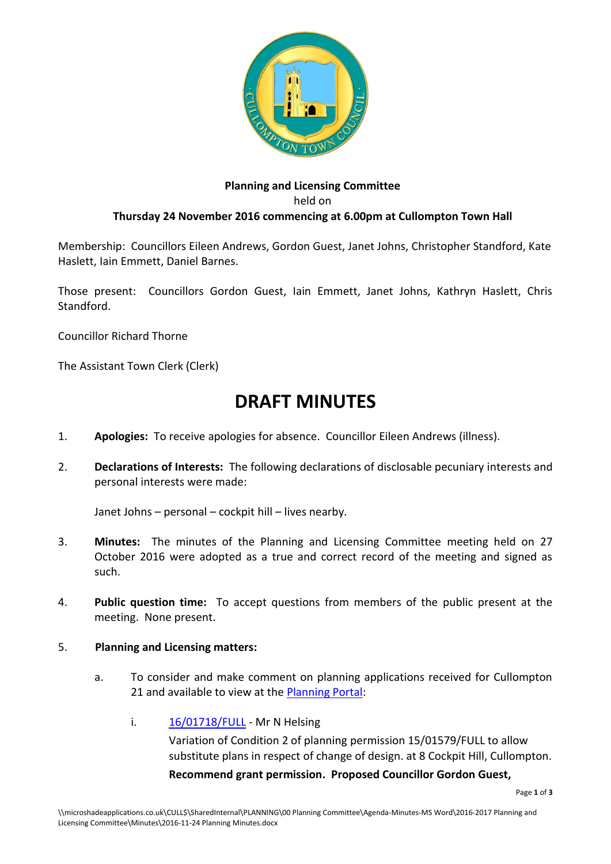

# **Planning and Licensing Committee** held on **Thursday 24 November 2016 commencing at 6.00pm at Cullompton Town Hall**

Membership: Councillors Eileen Andrews, Gordon Guest, Janet Johns, Christopher Standford, Kate Haslett, Iain Emmett, Daniel Barnes.

Those present: Councillors Gordon Guest, Iain Emmett, Janet Johns, Kathryn Haslett, Chris Standford.

Councillor Richard Thorne

The Assistant Town Clerk (Clerk)

# **DRAFT MINUTES**

- 1. **Apologies:** To receive apologies for absence. Councillor Eileen Andrews (illness).
- 2. **Declarations of Interests:** The following declarations of disclosable pecuniary interests and personal interests were made:

Janet Johns – personal – cockpit hill – lives nearby.

- 3. **Minutes:** The minutes of the Planning and Licensing Committee meeting held on 27 October 2016 were adopted as a true and correct record of the meeting and signed as such.
- 4. **Public question time:** To accept questions from members of the public present at the meeting. None present.
- 5. **Planning and Licensing matters:**
	- a. To consider and make comment on planning applications received for Cullompton 21 and available to view at the [Planning Portal:](http://planning.middevon.gov.uk/online-applications/refineSearch.do?action=refine)
		- i. [16/01718/FULL](https://planning.middevon.gov.uk/online-applications/applicationDetails.do?activeTab=documents&keyVal=OG45QSKS07T00) Mr N Helsing Variation of Condition 2 of planning permission 15/01579/FULL to allow substitute plans in respect of change of design. at 8 Cockpit Hill, Cullompton.

**Recommend grant permission. Proposed Councillor Gordon Guest,**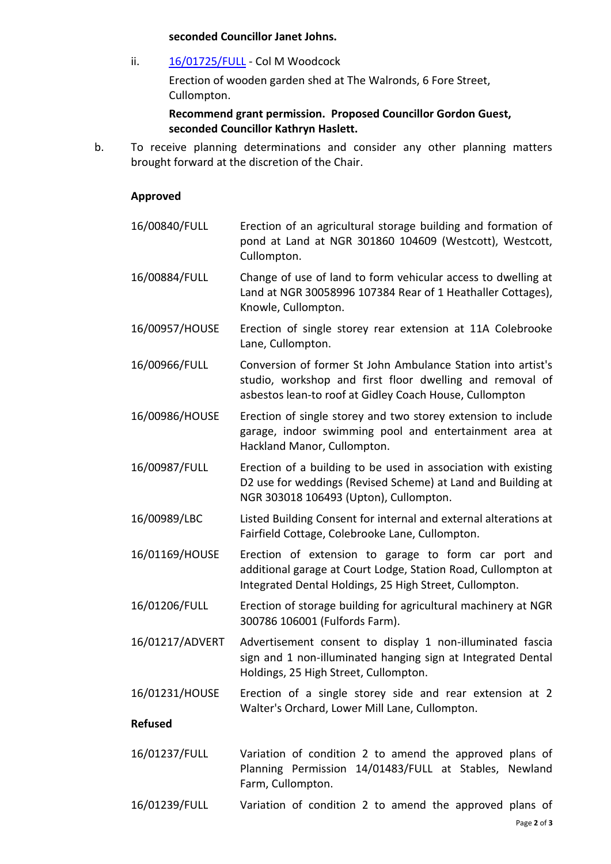#### **seconded Councillor Janet Johns.**

ii. [16/01725/FULL](https://planning.middevon.gov.uk/online-applications/applicationDetails.do?activeTab=documents&keyVal=OGA1GRKS05K00) - Col M Woodcock Erection of wooden garden shed at The Walronds, 6 Fore Street, Cullompton.

**Recommend grant permission. Proposed Councillor Gordon Guest, seconded Councillor Kathryn Haslett.**

b. To receive planning determinations and consider any other planning matters brought forward at the discretion of the Chair.

#### **Approved**

- 16/00840/FULL Erection of an agricultural storage building and formation of pond at Land at NGR 301860 104609 (Westcott), Westcott, Cullompton.
- 16/00884/FULL Change of use of land to form vehicular access to dwelling at Land at NGR 30058996 107384 Rear of 1 Heathaller Cottages), Knowle, Cullompton.
- 16/00957/HOUSE Erection of single storey rear extension at 11A Colebrooke Lane, Cullompton.
- 16/00966/FULL Conversion of former St John Ambulance Station into artist's studio, workshop and first floor dwelling and removal of asbestos lean-to roof at Gidley Coach House, Cullompton
- 16/00986/HOUSE Erection of single storey and two storey extension to include garage, indoor swimming pool and entertainment area at Hackland Manor, Cullompton.
- 16/00987/FULL Erection of a building to be used in association with existing D2 use for weddings (Revised Scheme) at Land and Building at NGR 303018 106493 (Upton), Cullompton.
- 16/00989/LBC Listed Building Consent for internal and external alterations at Fairfield Cottage, Colebrooke Lane, Cullompton.
- 16/01169/HOUSE Erection of extension to garage to form car port and additional garage at Court Lodge, Station Road, Cullompton at Integrated Dental Holdings, 25 High Street, Cullompton.
- 16/01206/FULL Erection of storage building for agricultural machinery at NGR 300786 106001 (Fulfords Farm).
- 16/01217/ADVERT Advertisement consent to display 1 non-illuminated fascia sign and 1 non-illuminated hanging sign at Integrated Dental Holdings, 25 High Street, Cullompton.
- 16/01231/HOUSE Erection of a single storey side and rear extension at 2 Walter's Orchard, Lower Mill Lane, Cullompton.

# **Refused**

- 16/01237/FULL Variation of condition 2 to amend the approved plans of Planning Permission 14/01483/FULL at Stables, Newland Farm, Cullompton.
- 16/01239/FULL Variation of condition 2 to amend the approved plans of